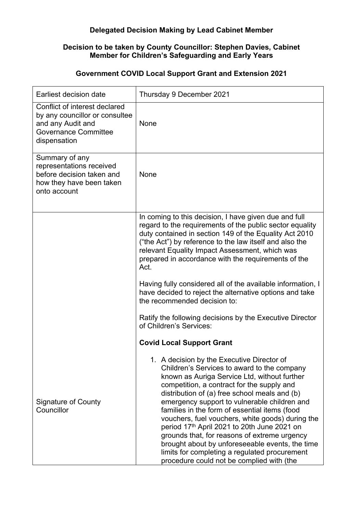## **Delegated Decision Making by Lead Cabinet Member**

## **Decision to be taken by County Councillor: Stephen Davies, Cabinet Member for Children's Safeguarding and Early Years**

## **Government COVID Local Support Grant and Extension 2021**

| Earliest decision date                                                                                                              | Thursday 9 December 2021                                                                                                                                                                                                                                                                                                                                                                                                                                                                                                                                                                                                                      |
|-------------------------------------------------------------------------------------------------------------------------------------|-----------------------------------------------------------------------------------------------------------------------------------------------------------------------------------------------------------------------------------------------------------------------------------------------------------------------------------------------------------------------------------------------------------------------------------------------------------------------------------------------------------------------------------------------------------------------------------------------------------------------------------------------|
| Conflict of interest declared<br>by any councillor or consultee<br>and any Audit and<br><b>Governance Committee</b><br>dispensation | None                                                                                                                                                                                                                                                                                                                                                                                                                                                                                                                                                                                                                                          |
| Summary of any<br>representations received<br>before decision taken and<br>how they have been taken<br>onto account                 | None                                                                                                                                                                                                                                                                                                                                                                                                                                                                                                                                                                                                                                          |
|                                                                                                                                     | In coming to this decision, I have given due and full<br>regard to the requirements of the public sector equality<br>duty contained in section 149 of the Equality Act 2010<br>("the Act") by reference to the law itself and also the<br>relevant Equality Impact Assessment, which was<br>prepared in accordance with the requirements of the<br>Act.                                                                                                                                                                                                                                                                                       |
|                                                                                                                                     | Having fully considered all of the available information, I<br>have decided to reject the alternative options and take<br>the recommended decision to:                                                                                                                                                                                                                                                                                                                                                                                                                                                                                        |
|                                                                                                                                     | Ratify the following decisions by the Executive Director<br>of Children's Services:                                                                                                                                                                                                                                                                                                                                                                                                                                                                                                                                                           |
|                                                                                                                                     | <b>Covid Local Support Grant</b>                                                                                                                                                                                                                                                                                                                                                                                                                                                                                                                                                                                                              |
| <b>Signature of County</b><br>Councillor                                                                                            | 1. A decision by the Executive Director of<br>Children's Services to award to the company<br>known as Auriga Service Ltd, without further<br>competition, a contract for the supply and<br>distribution of (a) free school meals and (b)<br>emergency support to vulnerable children and<br>families in the form of essential items (food<br>vouchers, fuel vouchers, white goods) during the<br>period 17th April 2021 to 20th June 2021 on<br>grounds that, for reasons of extreme urgency<br>brought about by unforeseeable events, the time<br>limits for completing a regulated procurement<br>procedure could not be complied with (the |